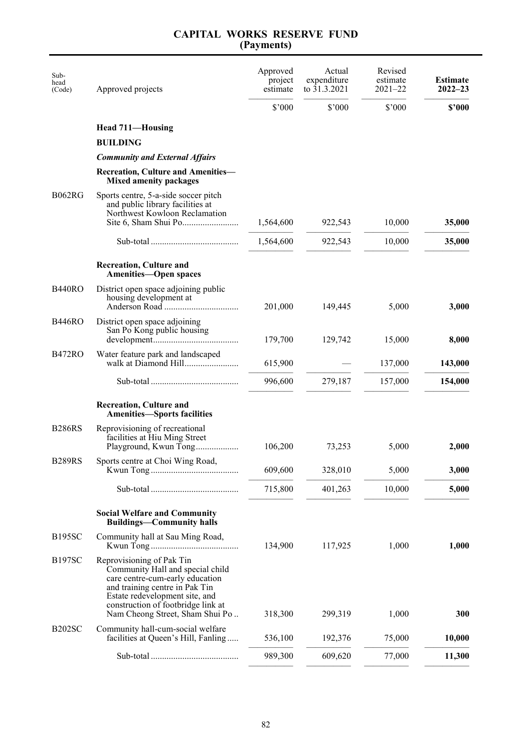| Sub-<br>head<br>(Code) | Approved projects                                                                                                                                                                                                                             | Approved<br>project<br>estimate | Actual<br>expenditure<br>to $31.3.2021$ | Revised<br>estimate<br>$2021 - 22$ | <b>Estimate</b><br>$2022 - 23$ |
|------------------------|-----------------------------------------------------------------------------------------------------------------------------------------------------------------------------------------------------------------------------------------------|---------------------------------|-----------------------------------------|------------------------------------|--------------------------------|
|                        |                                                                                                                                                                                                                                               | \$'000                          | \$'000                                  | \$'000                             | \$'000                         |
|                        | <b>Head 711-Housing</b>                                                                                                                                                                                                                       |                                 |                                         |                                    |                                |
|                        | <b>BUILDING</b>                                                                                                                                                                                                                               |                                 |                                         |                                    |                                |
|                        | <b>Community and External Affairs</b>                                                                                                                                                                                                         |                                 |                                         |                                    |                                |
|                        | <b>Recreation, Culture and Amenities-</b><br><b>Mixed amenity packages</b>                                                                                                                                                                    |                                 |                                         |                                    |                                |
| <b>B062RG</b>          | Sports centre, 5-a-side soccer pitch<br>and public library facilities at<br>Northwest Kowloon Reclamation                                                                                                                                     | 1,564,600                       | 922,543                                 | 10,000                             | 35,000                         |
|                        |                                                                                                                                                                                                                                               | 1,564,600                       | 922,543                                 | 10,000                             | 35,000                         |
|                        | <b>Recreation, Culture and</b><br>Amenities-Open spaces                                                                                                                                                                                       |                                 |                                         |                                    |                                |
| <b>B440RO</b>          | District open space adjoining public<br>housing development at                                                                                                                                                                                | 201,000                         | 149,445                                 | 5,000                              | 3,000                          |
| <b>B446RO</b>          | District open space adjoining<br>San Po Kong public housing                                                                                                                                                                                   | 179,700                         | 129,742                                 | 15,000                             | 8,000                          |
| <b>B472RO</b>          | Water feature park and landscaped                                                                                                                                                                                                             | 615,900                         |                                         | 137,000                            | 143,000                        |
|                        |                                                                                                                                                                                                                                               | 996,600                         | 279,187                                 | 157,000                            | 154,000                        |
|                        | <b>Recreation, Culture and</b><br><b>Amenities-Sports facilities</b>                                                                                                                                                                          |                                 |                                         |                                    |                                |
| <b>B286RS</b>          | Reprovisioning of recreational<br>facilities at Hiu Ming Street<br>Playground, Kwun Tong                                                                                                                                                      | 106,200                         | 73,253                                  | 5,000                              | 2,000                          |
| <b>B289RS</b>          | Sports centre at Choi Wing Road,                                                                                                                                                                                                              | 609,600                         | 328,010                                 | 5,000                              | 3,000                          |
|                        |                                                                                                                                                                                                                                               | 715,800                         | 401,263                                 | 10,000                             | 5,000                          |
|                        | <b>Social Welfare and Community</b><br><b>Buildings-Community halls</b>                                                                                                                                                                       |                                 |                                         |                                    |                                |
| <b>B195SC</b>          | Community hall at Sau Ming Road,                                                                                                                                                                                                              | 134,900                         | 117,925                                 | 1,000                              | 1,000                          |
| <b>B197SC</b>          | Reprovisioning of Pak Tin<br>Community Hall and special child<br>care centre-cum-early education<br>and training centre in Pak Tin<br>Estate redevelopment site, and<br>construction of footbridge link at<br>Nam Cheong Street, Sham Shui Po | 318,300                         | 299,319                                 | 1,000                              | 300                            |
| <b>B202SC</b>          | Community hall-cum-social welfare<br>facilities at Queen's Hill, Fanling                                                                                                                                                                      | 536,100                         | 192,376                                 | 75,000                             | 10,000                         |
|                        |                                                                                                                                                                                                                                               | 989,300                         | 609,620                                 | 77,000                             | 11,300                         |
|                        |                                                                                                                                                                                                                                               |                                 |                                         |                                    |                                |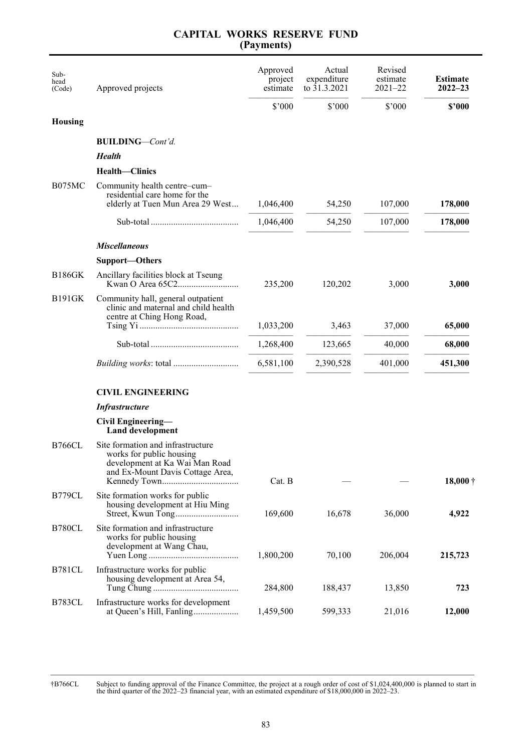| Sub-           |                                                                                                                                     | Approved            | Actual                        | Revised<br>estimate | <b>Estimate</b>  |
|----------------|-------------------------------------------------------------------------------------------------------------------------------------|---------------------|-------------------------------|---------------------|------------------|
| head<br>(Code) | Approved projects                                                                                                                   | project<br>estimate | expenditure<br>to $31.3.2021$ | $2021 - 22$         | $2022 - 23$      |
|                |                                                                                                                                     | \$'000              | \$'000                        | \$'000              | \$2000           |
| <b>Housing</b> |                                                                                                                                     |                     |                               |                     |                  |
|                | <b>BUILDING</b> —Cont'd.                                                                                                            |                     |                               |                     |                  |
|                | <b>Health</b>                                                                                                                       |                     |                               |                     |                  |
|                | <b>Health-Clinics</b>                                                                                                               |                     |                               |                     |                  |
| <b>B075MC</b>  | Community health centre-cum-<br>residential care home for the<br>elderly at Tuen Mun Area 29 West                                   | 1,046,400           | 54,250                        | 107,000             | 178,000          |
|                |                                                                                                                                     |                     |                               |                     |                  |
|                |                                                                                                                                     | 1,046,400           | 54,250                        | 107,000             | 178,000          |
|                | <b>Miscellaneous</b>                                                                                                                |                     |                               |                     |                  |
|                | Support-Others                                                                                                                      |                     |                               |                     |                  |
| <b>B186GK</b>  | Ancillary facilities block at Tseung                                                                                                | 235,200             | 120,202                       | 3,000               | 3,000            |
| <b>B191GK</b>  | Community hall, general outpatient<br>clinic and maternal and child health<br>centre at Ching Hong Road,                            |                     |                               |                     |                  |
|                |                                                                                                                                     | 1,033,200           | 3,463                         | 37,000              | 65,000           |
|                |                                                                                                                                     | 1,268,400           | 123,665                       | 40,000              | 68,000           |
|                |                                                                                                                                     | 6,581,100           | 2,390,528                     | 401,000             | 451,300          |
|                | <b>CIVIL ENGINEERING</b>                                                                                                            |                     |                               |                     |                  |
|                | <b>Infrastructure</b>                                                                                                               |                     |                               |                     |                  |
|                | Civil Engineering-<br><b>Land development</b>                                                                                       |                     |                               |                     |                  |
| <b>B766CL</b>  | Site formation and infrastructure<br>works for public housing<br>development at Ka Wai Man Road<br>and Ex-Mount Davis Cottage Area, | Cat. B              |                               |                     | $18,000 \dagger$ |
| <b>B779CL</b>  | Site formation works for public<br>housing development at Hiu Ming                                                                  | 169,600             | 16,678                        | 36,000              | 4,922            |
| B780CL         | Site formation and infrastructure<br>works for public housing<br>development at Wang Chau,                                          | 1,800,200           | 70,100                        | 206,004             | 215,723          |
| <b>B781CL</b>  | Infrastructure works for public<br>housing development at Area 54,                                                                  | 284,800             | 188,437                       | 13,850              | 723              |
| <b>B783CL</b>  | Infrastructure works for development                                                                                                | 1,459,500           | 599,333                       | 21,016              | 12,000           |

\_\_\_\_\_\_\_\_\_\_\_\_\_\_\_\_\_\_\_\_\_\_\_\_\_\_\_\_\_\_\_\_\_\_\_\_\_\_\_\_\_\_\_\_\_\_\_\_\_\_\_\_\_\_\_\_\_\_\_\_\_\_\_\_\_\_\_\_\_\_\_\_\_\_\_\_\_\_\_\_\_\_\_\_\_\_\_\_\_\_\_\_\_\_\_ †B766CL Subject to funding approval of the Finance Committee, the project at a rough order of cost of \$1,024,400,000 is planned to start in the third quarter of the 2022–23 financial year, with an estimated expenditure of \$18,000,000 in 2022–23.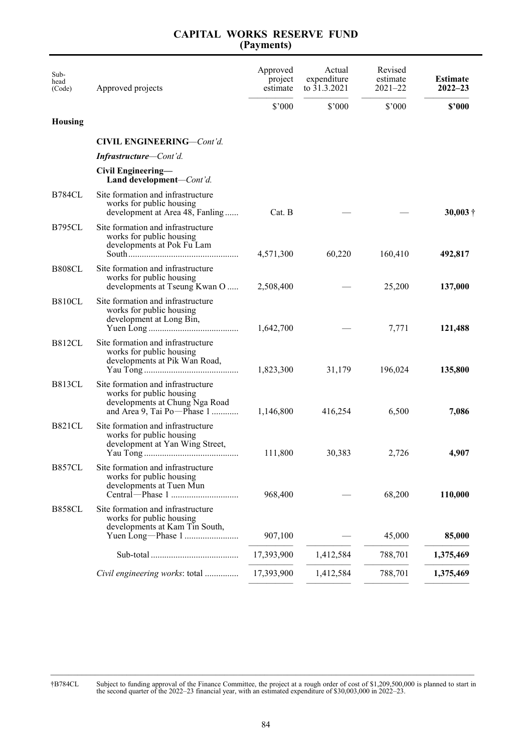| Sub-<br>head<br>(Code) | Approved projects                                                                                                             | Approved<br>project<br>estimate | Actual<br>expenditure<br>to 31.3.2021 | Revised<br>estimate<br>$2021 - 22$ | <b>Estimate</b><br>$2022 - 23$ |
|------------------------|-------------------------------------------------------------------------------------------------------------------------------|---------------------------------|---------------------------------------|------------------------------------|--------------------------------|
|                        |                                                                                                                               | \$'000                          | \$'000                                | \$'000                             | \$3000                         |
| <b>Housing</b>         |                                                                                                                               |                                 |                                       |                                    |                                |
|                        | <b>CIVIL ENGINEERING—Cont'd.</b>                                                                                              |                                 |                                       |                                    |                                |
|                        | <b>Infrastructure</b> —Cont'd.                                                                                                |                                 |                                       |                                    |                                |
|                        | Civil Engineering—<br>Land development-Cont'd.                                                                                |                                 |                                       |                                    |                                |
| <b>B784CL</b>          | Site formation and infrastructure<br>works for public housing<br>development at Area 48, Fanling                              | Cat. B                          |                                       |                                    | $30,003$ †                     |
| <b>B795CL</b>          | Site formation and infrastructure<br>works for public housing<br>developments at Pok Fu Lam                                   | 4,571,300                       | 60,220                                | 160,410                            | 492,817                        |
| <b>B808CL</b>          | Site formation and infrastructure<br>works for public housing<br>developments at Tseung Kwan O                                | 2,508,400                       |                                       | 25,200                             | 137,000                        |
| <b>B810CL</b>          | Site formation and infrastructure<br>works for public housing<br>development at Long Bin,                                     | 1,642,700                       |                                       | 7,771                              | 121,488                        |
| <b>B812CL</b>          | Site formation and infrastructure<br>works for public housing<br>developments at Pik Wan Road,                                | 1,823,300                       | 31,179                                | 196,024                            | 135,800                        |
| <b>B813CL</b>          | Site formation and infrastructure<br>works for public housing<br>developments at Chung Nga Road<br>and Area 9, Tai Po-Phase 1 | 1,146,800                       | 416,254                               | 6,500                              | 7,086                          |
| <b>B821CL</b>          | Site formation and infrastructure<br>works for public housing<br>development at Yan Wing Street,                              | 111,800                         | 30,383                                | 2,726                              | 4,907                          |
| <b>B857CL</b>          | Site formation and infrastructure<br>works for public housing<br>developments at Tuen Mun                                     | 968,400                         |                                       | 68,200                             | 110,000                        |
| <b>B858CL</b>          | Site formation and infrastructure<br>works for public housing<br>developments at Kam Tin South,                               | 907,100                         |                                       | 45,000                             | 85,000                         |
|                        |                                                                                                                               |                                 |                                       |                                    |                                |
|                        |                                                                                                                               | 17,393,900                      | 1,412,584                             | 788,701                            | 1,375,469                      |
|                        | Civil engineering works: total                                                                                                | 17,393,900                      | 1,412,584                             | 788,701                            | 1,375,469                      |

\_\_\_\_\_\_\_\_\_\_\_\_\_\_\_\_\_\_\_\_\_\_\_\_\_\_\_\_\_\_\_\_\_\_\_\_\_\_\_\_\_\_\_\_\_\_\_\_\_\_\_\_\_\_\_\_\_\_\_\_\_\_\_\_\_\_\_\_\_\_\_\_\_\_\_\_\_\_\_\_\_\_\_\_\_\_\_\_\_\_\_\_\_\_\_ †B784CL Subject to funding approval of the Finance Committee, the project at a rough order of cost of \$1,209,500,000 is planned to start in the second quarter of the 2022–23 financial year, with an estimated expenditure of \$30,003,000 in 2022–23.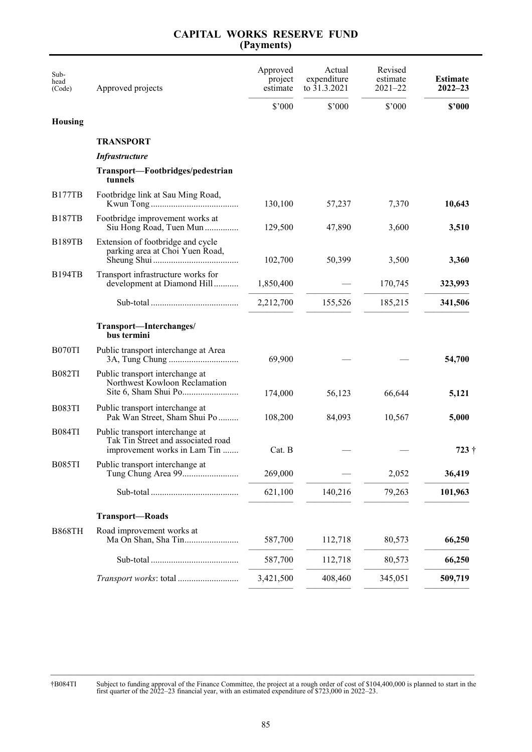| Sub-<br>head<br>(Code) | Approved projects                                                                                     | Approved<br>project<br>estimate | Actual<br>expenditure<br>to 31.3.2021 | Revised<br>estimate<br>$2021 - 22$ | <b>Estimate</b><br>$2022 - 23$ |
|------------------------|-------------------------------------------------------------------------------------------------------|---------------------------------|---------------------------------------|------------------------------------|--------------------------------|
|                        |                                                                                                       | \$'000                          | \$'000                                | \$'000                             | \$'000                         |
| <b>Housing</b>         |                                                                                                       |                                 |                                       |                                    |                                |
|                        | <b>TRANSPORT</b>                                                                                      |                                 |                                       |                                    |                                |
|                        | <b>Infrastructure</b>                                                                                 |                                 |                                       |                                    |                                |
|                        | Transport-Footbridges/pedestrian<br>tunnels                                                           |                                 |                                       |                                    |                                |
| B177TB                 | Footbridge link at Sau Ming Road,                                                                     | 130,100                         | 57,237                                | 7,370                              | 10,643                         |
| <b>B187TB</b>          | Footbridge improvement works at<br>Siu Hong Road, Tuen Mun                                            | 129,500                         | 47,890                                | 3,600                              | 3,510                          |
| <b>B189TB</b>          | Extension of footbridge and cycle<br>parking area at Choi Yuen Road,                                  | 102,700                         | 50,399                                | 3,500                              | 3,360                          |
| <b>B194TB</b>          | Transport infrastructure works for<br>development at Diamond Hill                                     | 1,850,400                       |                                       | 170,745                            | 323,993                        |
|                        |                                                                                                       | 2,212,700                       | 155,526                               | 185,215                            | 341,506                        |
|                        | Transport-Interchanges/<br>bus termini                                                                |                                 |                                       |                                    |                                |
| B070TI                 | Public transport interchange at Area                                                                  | 69,900                          |                                       |                                    | 54,700                         |
| <b>B082TI</b>          | Public transport interchange at<br>Northwest Kowloon Reclamation                                      | 174,000                         | 56,123                                | 66,644                             | 5,121                          |
| <b>B083TI</b>          | Public transport interchange at<br>Pak Wan Street, Sham Shui Po                                       | 108,200                         | 84,093                                | 10,567                             | 5,000                          |
| <b>B084TI</b>          | Public transport interchange at<br>Tak Tin Street and associated road<br>improvement works in Lam Tin | $Cat$ . B                       |                                       |                                    | $723 +$                        |
| <b>B085TI</b>          | Public transport interchange at                                                                       | 269,000                         |                                       | 2,052                              | 36,419                         |
|                        |                                                                                                       | 621,100                         | 140,216                               | 79,263                             | 101,963                        |
|                        | <b>Transport-Roads</b>                                                                                |                                 |                                       |                                    |                                |
| <b>B868TH</b>          | Road improvement works at<br>Ma On Shan, Sha Tin                                                      | 587,700                         | 112,718                               | 80,573                             | 66,250                         |
|                        |                                                                                                       | 587,700                         | 112,718                               | 80,573                             | 66,250                         |
|                        |                                                                                                       | 3,421,500                       | 408,460                               | 345,051                            | 509,719                        |
|                        |                                                                                                       |                                 |                                       |                                    |                                |

†B084TI Subject to funding approval of the Finance Committee, the project at a rough order of cost of \$104,400,000 is planned to start in the first quarter of the 2022–23 financial year, with an estimated expenditure of \$723,000 in 2022–23.

\_\_\_\_\_\_\_\_\_\_\_\_\_\_\_\_\_\_\_\_\_\_\_\_\_\_\_\_\_\_\_\_\_\_\_\_\_\_\_\_\_\_\_\_\_\_\_\_\_\_\_\_\_\_\_\_\_\_\_\_\_\_\_\_\_\_\_\_\_\_\_\_\_\_\_\_\_\_\_\_\_\_\_\_\_\_\_\_\_\_\_\_\_\_\_